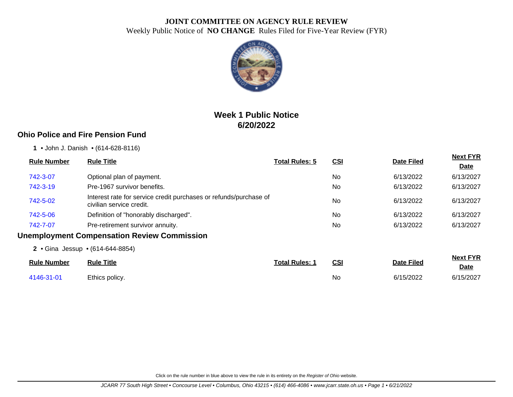

# **Week 1 Public Notice 6/20/2022**

## **Ohio Police and Fire Pension Fund**

**1** • John J. Danish • (614-628-8116)

| <b>Rule Number</b> | <b>Rule Title</b>                                                                             | <b>Total Rules: 5</b> | <u>CSI</u>     | <b>Date Filed</b> | <b>Next FYR</b><br><b>Date</b> |
|--------------------|-----------------------------------------------------------------------------------------------|-----------------------|----------------|-------------------|--------------------------------|
| 742-3-07           | Optional plan of payment.                                                                     |                       | N <sub>0</sub> | 6/13/2022         | 6/13/2027                      |
| 742-3-19           | Pre-1967 survivor benefits.                                                                   |                       | No.            | 6/13/2022         | 6/13/2027                      |
| 742-5-02           | Interest rate for service credit purchases or refunds/purchase of<br>civilian service credit. |                       | <b>No</b>      | 6/13/2022         | 6/13/2027                      |
| 742-5-06           | Definition of "honorably discharged".                                                         |                       | N <sub>0</sub> | 6/13/2022         | 6/13/2027                      |
| 742-7-07           | Pre-retirement survivor annuity.                                                              |                       | No.            | 6/13/2022         | 6/13/2027                      |
|                    | <b>Unemployment Compensation Review Commission</b>                                            |                       |                |                   |                                |
|                    | 2 • Gina Jessup • (614-644-8854)                                                              |                       |                |                   |                                |
| <b>Rule Number</b> | <b>Rule Title</b>                                                                             | <b>Total Rules: 1</b> | <u>CSI</u>     | <b>Date Filed</b> | <b>Next FYR</b><br><b>Date</b> |
| 4146-31-01         | Ethics policy.                                                                                |                       | No             | 6/15/2022         | 6/15/2027                      |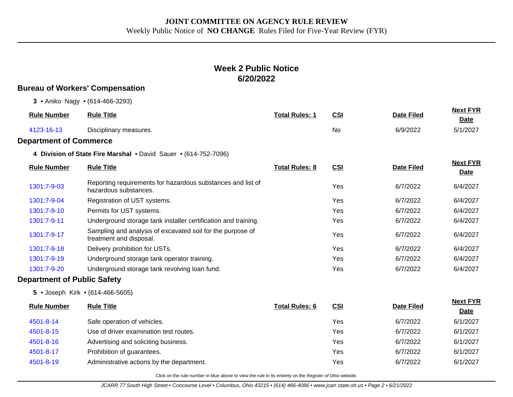# **Week 2 Public Notice 6/20/2022**

## **Bureau of Workers' Compensation**

|  |  |  | 3 • Aniko Nagy • (614-466-3293) |  |
|--|--|--|---------------------------------|--|
|--|--|--|---------------------------------|--|

| <b>Rule Number</b>                 | <b>Rule Title</b>                                                                     | <b>Total Rules: 1</b> | <b>CSI</b> | <b>Date Filed</b> | <b>Next FYR</b><br>Date        |
|------------------------------------|---------------------------------------------------------------------------------------|-----------------------|------------|-------------------|--------------------------------|
| 4123-16-13                         | Disciplinary measures.                                                                |                       | No         | 6/9/2022          | 5/1/2027                       |
| <b>Department of Commerce</b>      |                                                                                       |                       |            |                   |                                |
|                                    | 4 Division of State Fire Marshal . David Sauer . (614-752-7096)                       |                       |            |                   |                                |
| <b>Rule Number</b>                 | <b>Rule Title</b>                                                                     | <b>Total Rules: 8</b> | <b>CSI</b> | <b>Date Filed</b> | <b>Next FYR</b><br>Date        |
| 1301:7-9-03                        | Reporting requirements for hazardous substances and list of<br>hazardous substances.  |                       | Yes        | 6/7/2022          | 6/4/2027                       |
| 1301:7-9-04                        | Registration of UST systems.                                                          |                       | Yes        | 6/7/2022          | 6/4/2027                       |
| 1301:7-9-10                        | Permits for UST systems.                                                              |                       | Yes        | 6/7/2022          | 6/4/2027                       |
| 1301:7-9-11                        | Underground storage tank installer certification and training.                        |                       | Yes        | 6/7/2022          | 6/4/2027                       |
| 1301:7-9-17                        | Sampling and analysis of excavated soil for the purpose of<br>treatment and disposal. |                       | Yes        | 6/7/2022          | 6/4/2027                       |
| 1301:7-9-18                        | Delivery prohibition for USTs.                                                        |                       | Yes        | 6/7/2022          | 6/4/2027                       |
| 1301:7-9-19                        | Underground storage tank operator training.                                           |                       | Yes        | 6/7/2022          | 6/4/2027                       |
| 1301:7-9-20                        | Underground storage tank revolving loan fund.                                         |                       | Yes        | 6/7/2022          | 6/4/2027                       |
| <b>Department of Public Safety</b> |                                                                                       |                       |            |                   |                                |
|                                    | 5 • Joseph Kirk • (614-466-5605)                                                      |                       |            |                   |                                |
| <b>Rule Number</b>                 | <b>Rule Title</b>                                                                     | <b>Total Rules: 6</b> | <b>CSI</b> | <b>Date Filed</b> | <b>Next FYR</b><br><b>Date</b> |
| 4501-8-14                          | Safe operation of vehicles.                                                           |                       | Yes        | 6/7/2022          | 6/1/2027                       |
| 4501-8-15                          | Use of driver examination test routes.                                                |                       | Yes        | 6/7/2022          | 6/1/2027                       |
| 4501-8-16                          | Advertising and soliciting business.                                                  |                       | Yes        | 6/7/2022          | 6/1/2027                       |
| 4501-8-17                          | Prohibition of guarantees.                                                            |                       | Yes        | 6/7/2022          | 6/1/2027                       |
| 4501-8-19                          | Administrative actions by the department.                                             |                       | Yes        | 6/7/2022          | 6/1/2027                       |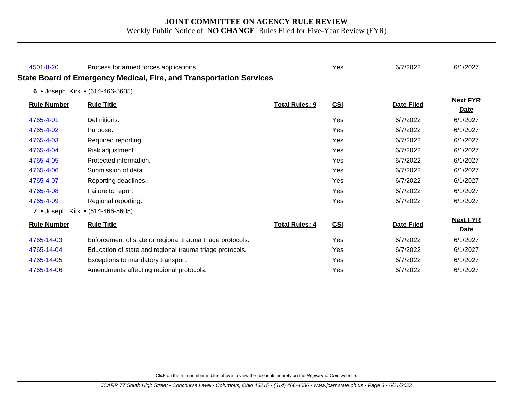| 4501-8-20          | Process for armed forces applications.                              |                       | Yes        | 6/7/2022          | 6/1/2027                       |
|--------------------|---------------------------------------------------------------------|-----------------------|------------|-------------------|--------------------------------|
|                    | State Board of Emergency Medical, Fire, and Transportation Services |                       |            |                   |                                |
|                    | 6 • Joseph Kirk • (614-466-5605)                                    |                       |            |                   |                                |
| <b>Rule Number</b> | <b>Rule Title</b>                                                   | <b>Total Rules: 9</b> | CSI        | <b>Date Filed</b> | <b>Next FYR</b><br><b>Date</b> |
| 4765-4-01          | Definitions.                                                        |                       | Yes        | 6/7/2022          | 6/1/2027                       |
| 4765-4-02          | Purpose.                                                            |                       | Yes        | 6/7/2022          | 6/1/2027                       |
| 4765-4-03          | Required reporting.                                                 |                       | Yes        | 6/7/2022          | 6/1/2027                       |
| 4765-4-04          | Risk adjustment.                                                    |                       | Yes        | 6/7/2022          | 6/1/2027                       |
| 4765-4-05          | Protected information.                                              |                       | Yes        | 6/7/2022          | 6/1/2027                       |
| 4765-4-06          | Submission of data.                                                 |                       | Yes        | 6/7/2022          | 6/1/2027                       |
| 4765-4-07          | Reporting deadlines.                                                |                       | Yes        | 6/7/2022          | 6/1/2027                       |
| 4765-4-08          | Failure to report.                                                  |                       | Yes        | 6/7/2022          | 6/1/2027                       |
| 4765-4-09          | Regional reporting.                                                 |                       | Yes        | 6/7/2022          | 6/1/2027                       |
|                    | 7 • Joseph Kirk • (614-466-5605)                                    |                       |            |                   |                                |
| <b>Rule Number</b> | <b>Rule Title</b>                                                   | <b>Total Rules: 4</b> | CSI        | <b>Date Filed</b> | <b>Next FYR</b><br><b>Date</b> |
| 4765-14-03         | Enforcement of state or regional trauma triage protocols.           |                       | Yes        | 6/7/2022          | 6/1/2027                       |
| 4765-14-04         | Education of state and regional trauma triage protocols.            |                       | <b>Yes</b> | 6/7/2022          | 6/1/2027                       |
| 4765-14-05         | Exceptions to mandatory transport.                                  |                       | Yes        | 6/7/2022          | 6/1/2027                       |
| 4765-14-06         | Amendments affecting regional protocols.                            |                       | Yes        | 6/7/2022          | 6/1/2027                       |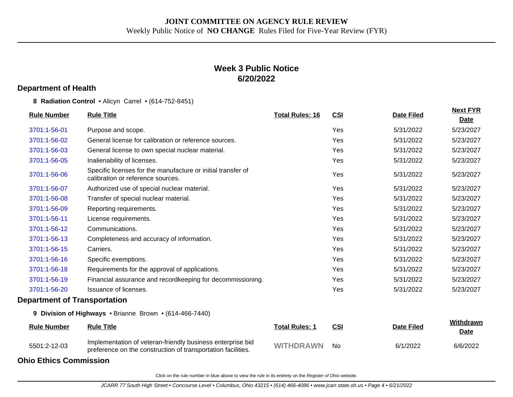## **Week 3 Public Notice 6/20/2022**

#### **Department of Health**

**8 Radiation Control** • Alicyn Carrel • (614-752-8451)

| <b>Rule Number</b>                  | <b>Rule Title</b>                                                                                                          | <b>Total Rules: 16</b> | <b>CSI</b> | <b>Date Filed</b> | <b>Next FYR</b><br><b>Date</b> |
|-------------------------------------|----------------------------------------------------------------------------------------------------------------------------|------------------------|------------|-------------------|--------------------------------|
| 3701:1-56-01                        | Purpose and scope.                                                                                                         |                        | Yes        | 5/31/2022         | 5/23/2027                      |
| 3701:1-56-02                        | General license for calibration or reference sources.                                                                      |                        | Yes        | 5/31/2022         | 5/23/2027                      |
| 3701:1-56-03                        | General license to own special nuclear material.                                                                           |                        | Yes        | 5/31/2022         | 5/23/2027                      |
| 3701:1-56-05                        | Inalienability of licenses.                                                                                                |                        | Yes        | 5/31/2022         | 5/23/2027                      |
| 3701:1-56-06                        | Specific licenses for the manufacture or initial transfer of<br>calibration or reference sources.                          |                        | Yes        | 5/31/2022         | 5/23/2027                      |
| 3701:1-56-07                        | Authorized use of special nuclear material.                                                                                |                        | Yes        | 5/31/2022         | 5/23/2027                      |
| 3701:1-56-08                        | Transfer of special nuclear material.                                                                                      |                        | Yes        | 5/31/2022         | 5/23/2027                      |
| 3701:1-56-09                        | Reporting requirements.                                                                                                    |                        | Yes        | 5/31/2022         | 5/23/2027                      |
| 3701:1-56-11                        | License requirements.                                                                                                      |                        | Yes        | 5/31/2022         | 5/23/2027                      |
| 3701:1-56-12                        | Communications.                                                                                                            |                        | Yes        | 5/31/2022         | 5/23/2027                      |
| 3701:1-56-13                        | Completeness and accuracy of information.                                                                                  |                        | Yes        | 5/31/2022         | 5/23/2027                      |
| 3701:1-56-15                        | Carriers.                                                                                                                  |                        | Yes        | 5/31/2022         | 5/23/2027                      |
| 3701:1-56-16                        | Specific exemptions.                                                                                                       |                        | Yes        | 5/31/2022         | 5/23/2027                      |
| 3701:1-56-18                        | Requirements for the approval of applications.                                                                             |                        | Yes        | 5/31/2022         | 5/23/2027                      |
| 3701:1-56-19                        | Financial assurance and recordkeeping for decommissioning.                                                                 |                        | Yes        | 5/31/2022         | 5/23/2027                      |
| 3701:1-56-20                        | Issuance of licenses.                                                                                                      |                        | Yes        | 5/31/2022         | 5/23/2027                      |
| <b>Department of Transportation</b> |                                                                                                                            |                        |            |                   |                                |
|                                     | 9 Division of Highways . Brianne Brown . (614-466-7440)                                                                    |                        |            |                   |                                |
| <b>Rule Number</b>                  | <b>Rule Title</b>                                                                                                          | <b>Total Rules: 1</b>  | <b>CSI</b> | <b>Date Filed</b> | Withdrawn<br><b>Date</b>       |
| 5501:2-12-03                        | Implementation of veteran-friendly business enterprise bid<br>preference on the construction of transportation facilities. | <b>WITHDRAWN</b>       | <b>No</b>  | 6/1/2022          | 6/6/2022                       |

**Ohio Ethics Commission**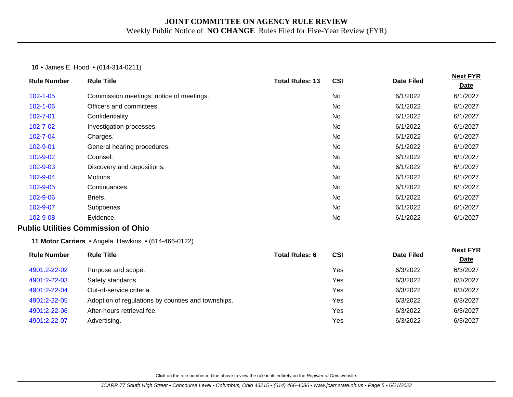#### **10** • James E. Hood • (614-314-0211)

| <b>Rule Number</b> | <b>Rule Title</b>                                   | <b>Total Rules: 13</b> | CSI        | <b>Date Filed</b> | <b>Next FYR</b>                |
|--------------------|-----------------------------------------------------|------------------------|------------|-------------------|--------------------------------|
|                    |                                                     |                        |            |                   | <b>Date</b>                    |
| $102 - 1 - 05$     | Commission meetings; notice of meetings.            |                        | No         | 6/1/2022          | 6/1/2027                       |
| $102 - 1 - 06$     | Officers and committees.                            |                        | No         | 6/1/2022          | 6/1/2027                       |
| 102-7-01           | Confidentiality.                                    |                        | No         | 6/1/2022          | 6/1/2027                       |
| $102 - 7 - 02$     | Investigation processes.                            |                        | No         | 6/1/2022          | 6/1/2027                       |
| 102-7-04           | Charges.                                            |                        | No         | 6/1/2022          | 6/1/2027                       |
| 102-9-01           | General hearing procedures.                         |                        | No         | 6/1/2022          | 6/1/2027                       |
| 102-9-02           | Counsel.                                            |                        | No         | 6/1/2022          | 6/1/2027                       |
| 102-9-03           | Discovery and depositions.                          |                        | No         | 6/1/2022          | 6/1/2027                       |
| 102-9-04           | Motions.                                            |                        | No         | 6/1/2022          | 6/1/2027                       |
| 102-9-05           | Continuances.                                       |                        | No         | 6/1/2022          | 6/1/2027                       |
| 102-9-06           | Briefs.                                             |                        | No         | 6/1/2022          | 6/1/2027                       |
| 102-9-07           | Subpoenas.                                          |                        | <b>No</b>  | 6/1/2022          | 6/1/2027                       |
| 102-9-08           | Evidence.                                           |                        | No         | 6/1/2022          | 6/1/2027                       |
|                    | <b>Public Utilities Commission of Ohio</b>          |                        |            |                   |                                |
|                    | 11 Motor Carriers • Angela Hawkins • (614-466-0122) |                        |            |                   |                                |
| <b>Rule Number</b> | <b>Rule Title</b>                                   | <b>Total Rules: 6</b>  | <b>CSI</b> | <b>Date Filed</b> | <b>Next FYR</b><br><b>Date</b> |
| 4901:2-22-02       | Purpose and scope.                                  |                        | Yes        | 6/3/2022          | 6/3/2027                       |
| 4901:2-22-03       | Safety standards.                                   |                        | Yes        | 6/3/2022          | 6/3/2027                       |
| 4901:2-22-04       | Out-of-service criteria.                            |                        | Yes        | 6/3/2022          | 6/3/2027                       |
| 4901:2-22-05       | Adoption of regulations by counties and townships.  |                        | Yes        | 6/3/2022          | 6/3/2027                       |
| 4901:2-22-06       | After-hours retrieval fee.                          |                        | Yes        | 6/3/2022          | 6/3/2027                       |
| 4901:2-22-07       | Advertising.                                        |                        | Yes        | 6/3/2022          | 6/3/2027                       |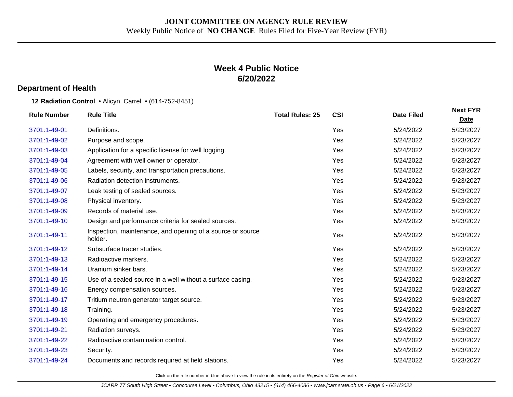## **Week 4 Public Notice 6/20/2022**

#### **Department of Health**

**12 Radiation Control** • Alicyn Carrel • (614-752-8451)

| <b>Rule Number</b> | <b>Rule Title</b>                                                     | <b>Total Rules: 25</b> | CSI | <b>Date Filed</b> | <b>Next FYR</b><br><b>Date</b> |
|--------------------|-----------------------------------------------------------------------|------------------------|-----|-------------------|--------------------------------|
| 3701:1-49-01       | Definitions.                                                          |                        | Yes | 5/24/2022         | 5/23/2027                      |
| 3701:1-49-02       | Purpose and scope.                                                    |                        | Yes | 5/24/2022         | 5/23/2027                      |
| 3701:1-49-03       | Application for a specific license for well logging.                  |                        | Yes | 5/24/2022         | 5/23/2027                      |
| 3701:1-49-04       | Agreement with well owner or operator.                                |                        | Yes | 5/24/2022         | 5/23/2027                      |
| 3701:1-49-05       | Labels, security, and transportation precautions.                     |                        | Yes | 5/24/2022         | 5/23/2027                      |
| 3701:1-49-06       | Radiation detection instruments.                                      |                        | Yes | 5/24/2022         | 5/23/2027                      |
| 3701:1-49-07       | Leak testing of sealed sources.                                       |                        | Yes | 5/24/2022         | 5/23/2027                      |
| 3701:1-49-08       | Physical inventory.                                                   |                        | Yes | 5/24/2022         | 5/23/2027                      |
| 3701:1-49-09       | Records of material use.                                              |                        | Yes | 5/24/2022         | 5/23/2027                      |
| 3701:1-49-10       | Design and performance criteria for sealed sources.                   |                        | Yes | 5/24/2022         | 5/23/2027                      |
| 3701:1-49-11       | Inspection, maintenance, and opening of a source or source<br>holder. |                        | Yes | 5/24/2022         | 5/23/2027                      |
| 3701:1-49-12       | Subsurface tracer studies.                                            |                        | Yes | 5/24/2022         | 5/23/2027                      |
| 3701:1-49-13       | Radioactive markers.                                                  |                        | Yes | 5/24/2022         | 5/23/2027                      |
| 3701:1-49-14       | Uranium sinker bars.                                                  |                        | Yes | 5/24/2022         | 5/23/2027                      |
| 3701:1-49-15       | Use of a sealed source in a well without a surface casing.            |                        | Yes | 5/24/2022         | 5/23/2027                      |
| 3701:1-49-16       | Energy compensation sources.                                          |                        | Yes | 5/24/2022         | 5/23/2027                      |
| 3701:1-49-17       | Tritium neutron generator target source.                              |                        | Yes | 5/24/2022         | 5/23/2027                      |
| 3701:1-49-18       | Training.                                                             |                        | Yes | 5/24/2022         | 5/23/2027                      |
| 3701:1-49-19       | Operating and emergency procedures.                                   |                        | Yes | 5/24/2022         | 5/23/2027                      |
| 3701:1-49-21       | Radiation surveys.                                                    |                        | Yes | 5/24/2022         | 5/23/2027                      |
| 3701:1-49-22       | Radioactive contamination control.                                    |                        | Yes | 5/24/2022         | 5/23/2027                      |
| 3701:1-49-23       | Security.                                                             |                        | Yes | 5/24/2022         | 5/23/2027                      |
| 3701:1-49-24       | Documents and records required at field stations.                     |                        | Yes | 5/24/2022         | 5/23/2027                      |
|                    |                                                                       |                        |     |                   |                                |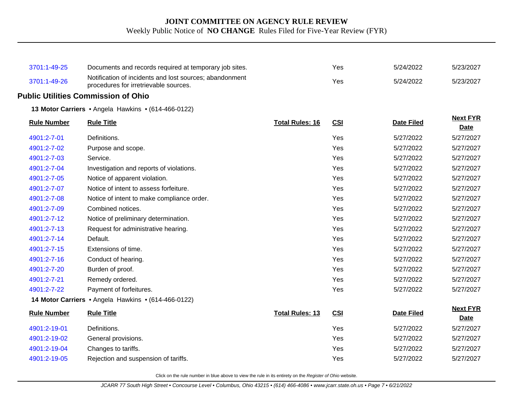| 3701:1-49-25       | Documents and records required at temporary job sites.                                           |                        | Yes        | 5/24/2022         | 5/23/2027                      |
|--------------------|--------------------------------------------------------------------------------------------------|------------------------|------------|-------------------|--------------------------------|
| 3701:1-49-26       | Notification of incidents and lost sources; abandonment<br>procedures for irretrievable sources. |                        | Yes        | 5/24/2022         | 5/23/2027                      |
|                    | <b>Public Utilities Commission of Ohio</b>                                                       |                        |            |                   |                                |
|                    | 13 Motor Carriers • Angela Hawkins • (614-466-0122)                                              |                        |            |                   |                                |
| <b>Rule Number</b> | <b>Rule Title</b>                                                                                | <b>Total Rules: 16</b> | <b>CSI</b> | <b>Date Filed</b> | <b>Next FYR</b><br><b>Date</b> |
| 4901:2-7-01        | Definitions.                                                                                     |                        | Yes        | 5/27/2022         | 5/27/2027                      |
| 4901:2-7-02        | Purpose and scope.                                                                               |                        | Yes        | 5/27/2022         | 5/27/2027                      |
| 4901:2-7-03        | Service.                                                                                         |                        | Yes        | 5/27/2022         | 5/27/2027                      |
| 4901:2-7-04        | Investigation and reports of violations.                                                         |                        | Yes        | 5/27/2022         | 5/27/2027                      |
| 4901:2-7-05        | Notice of apparent violation.                                                                    |                        | Yes        | 5/27/2022         | 5/27/2027                      |
| 4901:2-7-07        | Notice of intent to assess forfeiture.                                                           |                        | Yes        | 5/27/2022         | 5/27/2027                      |
| 4901:2-7-08        | Notice of intent to make compliance order.                                                       |                        | Yes        | 5/27/2022         | 5/27/2027                      |
| 4901:2-7-09        | Combined notices.                                                                                |                        | Yes        | 5/27/2022         | 5/27/2027                      |
| 4901:2-7-12        | Notice of preliminary determination.                                                             |                        | Yes        | 5/27/2022         | 5/27/2027                      |
| 4901:2-7-13        | Request for administrative hearing.                                                              |                        | Yes        | 5/27/2022         | 5/27/2027                      |
| 4901:2-7-14        | Default.                                                                                         |                        | Yes        | 5/27/2022         | 5/27/2027                      |
| 4901:2-7-15        | Extensions of time.                                                                              |                        | Yes        | 5/27/2022         | 5/27/2027                      |
| 4901:2-7-16        | Conduct of hearing.                                                                              |                        | Yes        | 5/27/2022         | 5/27/2027                      |
| 4901:2-7-20        | Burden of proof.                                                                                 |                        | Yes        | 5/27/2022         | 5/27/2027                      |
| 4901:2-7-21        | Remedy ordered.                                                                                  |                        | Yes        | 5/27/2022         | 5/27/2027                      |
| 4901:2-7-22        | Payment of forfeitures.                                                                          |                        | Yes        | 5/27/2022         | 5/27/2027                      |
|                    | 14 Motor Carriers . Angela Hawkins . (614-466-0122)                                              |                        |            |                   |                                |
| <b>Rule Number</b> | <b>Rule Title</b>                                                                                | <b>Total Rules: 13</b> | <b>CSI</b> | <b>Date Filed</b> | <b>Next FYR</b><br><b>Date</b> |
| 4901:2-19-01       | Definitions.                                                                                     |                        | Yes        | 5/27/2022         | 5/27/2027                      |
| 4901:2-19-02       | General provisions.                                                                              |                        | Yes        | 5/27/2022         | 5/27/2027                      |
| 4901:2-19-04       | Changes to tariffs.                                                                              |                        | Yes        | 5/27/2022         | 5/27/2027                      |
| 4901:2-19-05       | Rejection and suspension of tariffs.                                                             |                        | Yes        | 5/27/2022         | 5/27/2027                      |
|                    |                                                                                                  |                        |            |                   |                                |